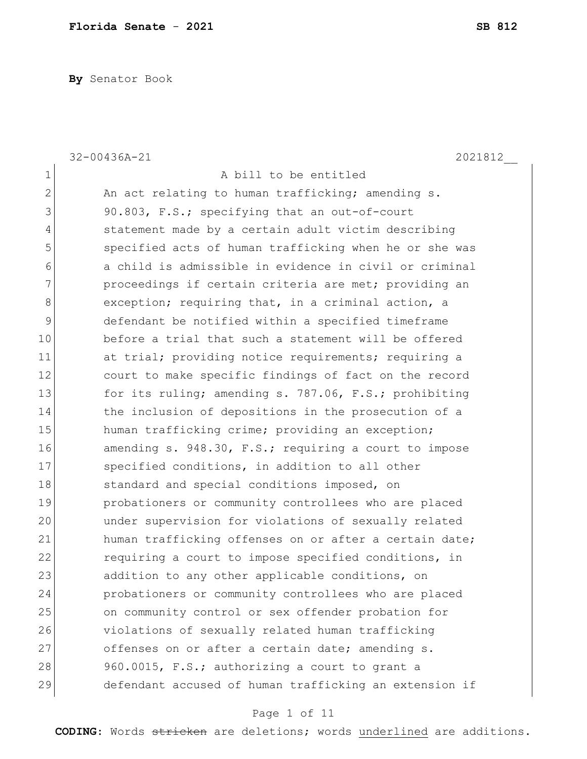**By** Senator Book

|              | $32 - 00436A - 21$<br>2021812                          |
|--------------|--------------------------------------------------------|
| 1            | A bill to be entitled                                  |
| $\mathbf{2}$ | An act relating to human trafficking; amending s.      |
| 3            | 90.803, F.S.; specifying that an out-of-court          |
| 4            | statement made by a certain adult victim describing    |
| 5            | specified acts of human trafficking when he or she was |
| 6            | a child is admissible in evidence in civil or criminal |
| 7            | proceedings if certain criteria are met; providing an  |
| 8            | exception; requiring that, in a criminal action, a     |
| 9            | defendant be notified within a specified timeframe     |
| 10           | before a trial that such a statement will be offered   |
| 11           | at trial; providing notice requirements; requiring a   |
| 12           | court to make specific findings of fact on the record  |
| 13           | for its ruling; amending s. 787.06, F.S.; prohibiting  |
| 14           | the inclusion of depositions in the prosecution of a   |
| 15           | human trafficking crime; providing an exception;       |
| 16           | amending s. 948.30, F.S.; requiring a court to impose  |
| 17           | specified conditions, in addition to all other         |
| 18           | standard and special conditions imposed, on            |
| 19           | probationers or community controllees who are placed   |
| 20           | under supervision for violations of sexually related   |
| 21           | human trafficking offenses on or after a certain date; |
| 22           | requiring a court to impose specified conditions, in   |
| 23           | addition to any other applicable conditions, on        |
| 24           | probationers or community controllees who are placed   |
| 25           | on community control or sex offender probation for     |
| 26           | violations of sexually related human trafficking       |
| 27           | offenses on or after a certain date; amending s.       |
| 28           | 960.0015, F.S.; authorizing a court to grant a         |
| 29           | defendant accused of human trafficking an extension if |

# Page 1 of 11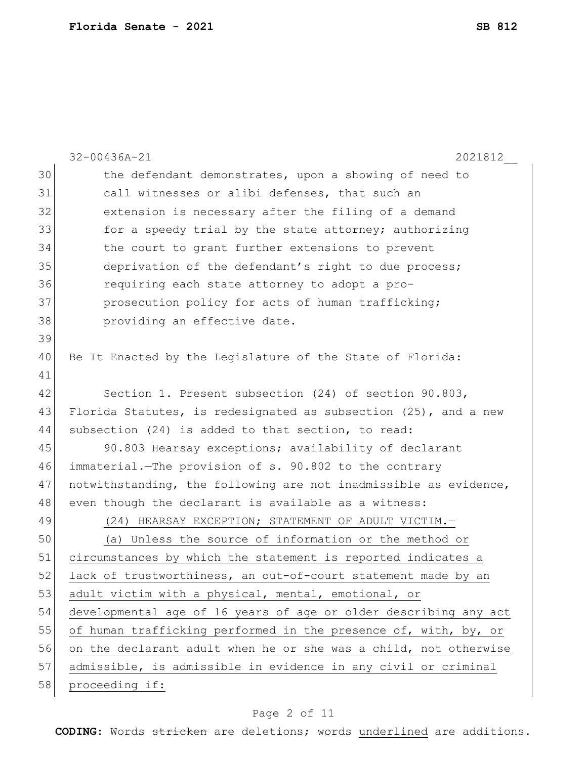|    | $32 - 00436A - 21$<br>2021812                                    |
|----|------------------------------------------------------------------|
| 30 | the defendant demonstrates, upon a showing of need to            |
| 31 | call witnesses or alibi defenses, that such an                   |
| 32 | extension is necessary after the filing of a demand              |
| 33 | for a speedy trial by the state attorney; authorizing            |
| 34 | the court to grant further extensions to prevent                 |
| 35 | deprivation of the defendant's right to due process;             |
| 36 | requiring each state attorney to adopt a pro-                    |
| 37 | prosecution policy for acts of human trafficking;                |
| 38 | providing an effective date.                                     |
| 39 |                                                                  |
| 40 | Be It Enacted by the Leqislature of the State of Florida:        |
| 41 |                                                                  |
| 42 | Section 1. Present subsection (24) of section 90.803,            |
| 43 | Florida Statutes, is redesignated as subsection (25), and a new  |
| 44 | subsection (24) is added to that section, to read:               |
| 45 | 90.803 Hearsay exceptions; availability of declarant             |
| 46 | immaterial. The provision of s. 90.802 to the contrary           |
| 47 | notwithstanding, the following are not inadmissible as evidence, |
| 48 | even though the declarant is available as a witness:             |
| 49 | (24) HEARSAY EXCEPTION; STATEMENT OF ADULT VICTIM.-              |
| 50 | (a) Unless the source of information or the method or            |
| 51 | circumstances by which the statement is reported indicates a     |
| 52 | lack of trustworthiness, an out-of-court statement made by an    |
| 53 | adult victim with a physical, mental, emotional, or              |
| 54 | developmental age of 16 years of age or older describing any act |
| 55 | of human trafficking performed in the presence of, with, by, or  |
| 56 | on the declarant adult when he or she was a child, not otherwise |
| 57 | admissible, is admissible in evidence in any civil or criminal   |
| 58 | proceeding if:                                                   |
|    |                                                                  |

# Page 2 of 11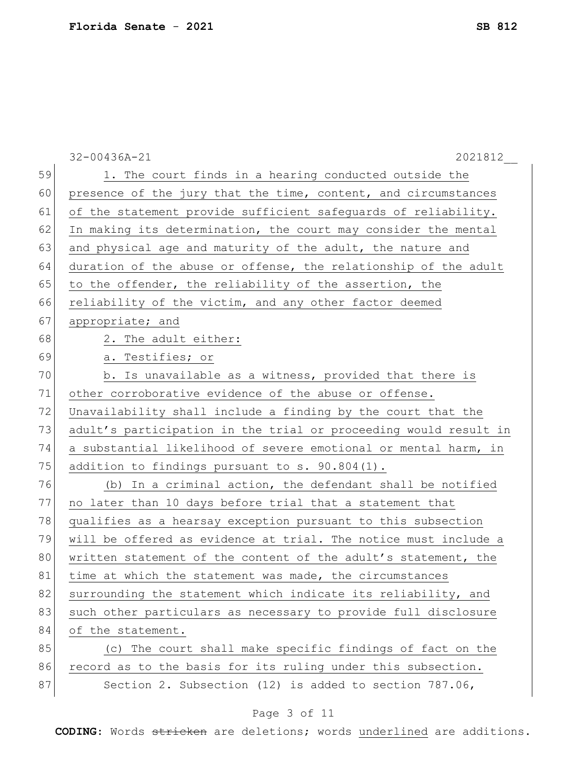|    | $32 - 00436A - 21$<br>2021812                                    |
|----|------------------------------------------------------------------|
| 59 | 1. The court finds in a hearing conducted outside the            |
| 60 | presence of the jury that the time, content, and circumstances   |
| 61 | of the statement provide sufficient safeguards of reliability.   |
| 62 | In making its determination, the court may consider the mental   |
| 63 | and physical age and maturity of the adult, the nature and       |
| 64 | duration of the abuse or offense, the relationship of the adult  |
| 65 | to the offender, the reliability of the assertion, the           |
| 66 | reliability of the victim, and any other factor deemed           |
| 67 | appropriate; and                                                 |
| 68 | 2. The adult either:                                             |
| 69 | a. Testifies; or                                                 |
| 70 | b. Is unavailable as a witness, provided that there is           |
| 71 | other corroborative evidence of the abuse or offense.            |
| 72 | Unavailability shall include a finding by the court that the     |
| 73 | adult's participation in the trial or proceeding would result in |
| 74 | a substantial likelihood of severe emotional or mental harm, in  |
| 75 | addition to findings pursuant to s. 90.804(1).                   |
| 76 | (b) In a criminal action, the defendant shall be notified        |
| 77 | no later than 10 days before trial that a statement that         |
| 78 | qualifies as a hearsay exception pursuant to this subsection     |
| 79 | will be offered as evidence at trial. The notice must include a  |
| 80 | written statement of the content of the adult's statement, the   |
| 81 | time at which the statement was made, the circumstances          |
| 82 | surrounding the statement which indicate its reliability, and    |
| 83 | such other particulars as necessary to provide full disclosure   |
| 84 | of the statement.                                                |
| 85 | (c) The court shall make specific findings of fact on the        |
| 86 | record as to the basis for its ruling under this subsection.     |
| 87 | Section 2. Subsection (12) is added to section 787.06,           |

# Page 3 of 11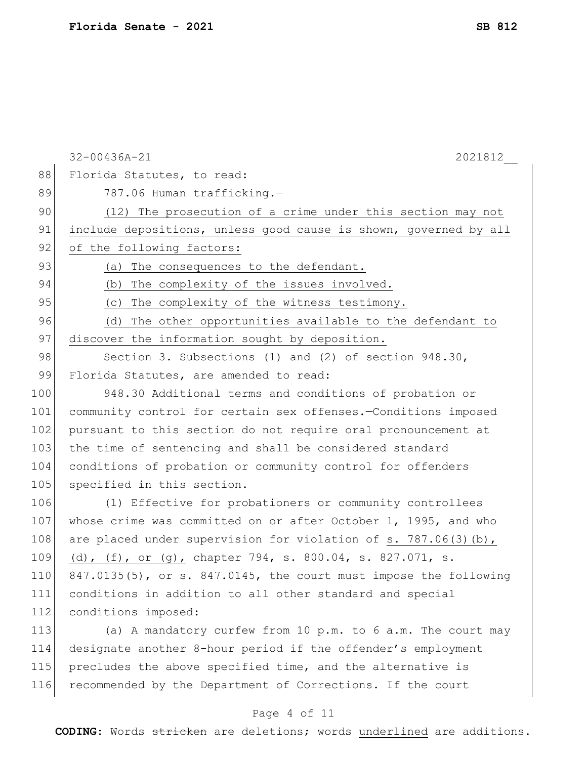|     | $32 - 00436A - 21$<br>2021812                                     |
|-----|-------------------------------------------------------------------|
| 88  | Florida Statutes, to read:                                        |
| 89  | 787.06 Human trafficking.-                                        |
| 90  | (12) The prosecution of a crime under this section may not        |
| 91  | include depositions, unless good cause is shown, governed by all  |
| 92  | of the following factors:                                         |
| 93  | (a)<br>The consequences to the defendant.                         |
| 94  | The complexity of the issues involved.<br>(b)                     |
| 95  | The complexity of the witness testimony.<br>(C)                   |
| 96  | The other opportunities available to the defendant to<br>(d)      |
| 97  | discover the information sought by deposition.                    |
| 98  | Section 3. Subsections (1) and (2) of section $948.30$ ,          |
| 99  | Florida Statutes, are amended to read:                            |
| 100 | 948.30 Additional terms and conditions of probation or            |
| 101 | community control for certain sex offenses.-Conditions imposed    |
| 102 | pursuant to this section do not require oral pronouncement at     |
| 103 | the time of sentencing and shall be considered standard           |
| 104 | conditions of probation or community control for offenders        |
| 105 | specified in this section.                                        |
| 106 | (1) Effective for probationers or community controllees           |
| 107 | whose crime was committed on or after October 1, 1995, and who    |
| 108 | are placed under supervision for violation of s. $787.06(3)(b)$ , |
| 109 | (d), (f), or (g), chapter 794, s. 800.04, s. 827.071, s.          |
| 110 | 847.0135(5), or s. 847.0145, the court must impose the following  |
| 111 | conditions in addition to all other standard and special          |
| 112 | conditions imposed:                                               |
| 113 | (a) A mandatory curfew from 10 p.m. to 6 a.m. The court may       |
| 114 | designate another 8-hour period if the offender's employment      |
| 115 | precludes the above specified time, and the alternative is        |
| 116 | recommended by the Department of Corrections. If the court        |

## Page 4 of 11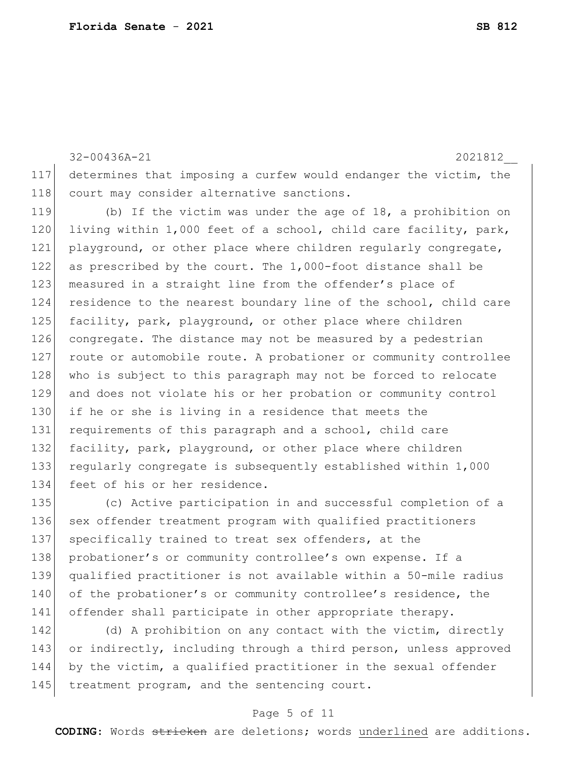32-00436A-21 2021812\_\_ 117 determines that imposing a curfew would endanger the victim, the 118 court may consider alternative sanctions.

119 (b) If the victim was under the age of 18, a prohibition on 120 living within 1,000 feet of a school, child care facility, park, 121 playground, or other place where children regularly congregate, 122 as prescribed by the court. The 1,000-foot distance shall be 123 measured in a straight line from the offender's place of 124 residence to the nearest boundary line of the school, child care 125 facility, park, playground, or other place where children 126 congregate. The distance may not be measured by a pedestrian 127 route or automobile route. A probationer or community controllee 128 who is subject to this paragraph may not be forced to relocate 129 and does not violate his or her probation or community control 130 if he or she is living in a residence that meets the 131 requirements of this paragraph and a school, child care 132 facility, park, playground, or other place where children 133 regularly congregate is subsequently established within 1,000 134 feet of his or her residence.

135 (c) Active participation in and successful completion of a 136 sex offender treatment program with qualified practitioners 137 specifically trained to treat sex offenders, at the 138 probationer's or community controllee's own expense. If a 139 qualified practitioner is not available within a 50-mile radius 140 of the probationer's or community controllee's residence, the 141 offender shall participate in other appropriate therapy.

142 (d) A prohibition on any contact with the victim, directly 143 or indirectly, including through a third person, unless approved 144 by the victim, a qualified practitioner in the sexual offender 145 treatment program, and the sentencing court.

### Page 5 of 11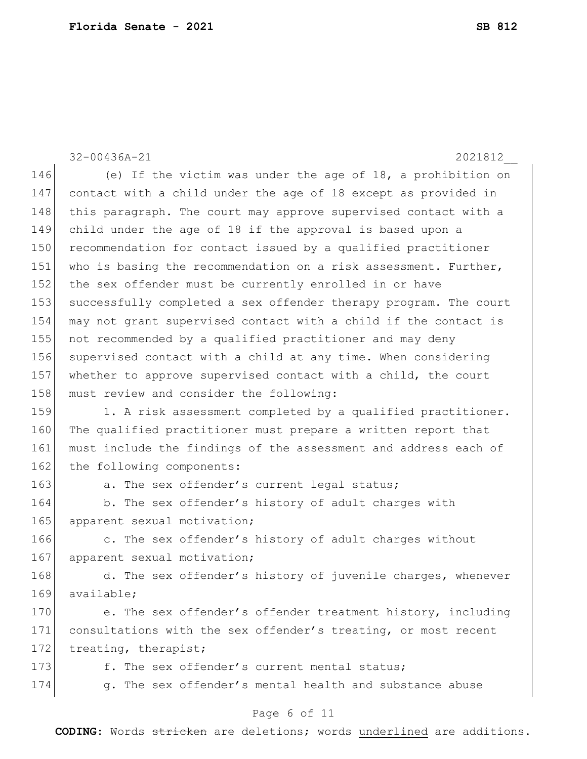32-00436A-21 2021812\_\_ 146 (e) If the victim was under the age of 18, a prohibition on 147 contact with a child under the age of 18 except as provided in 148 this paragraph. The court may approve supervised contact with a 149 child under the age of 18 if the approval is based upon a 150 recommendation for contact issued by a qualified practitioner 151 who is basing the recommendation on a risk assessment. Further, 152 the sex offender must be currently enrolled in or have 153 successfully completed a sex offender therapy program. The court 154 may not grant supervised contact with a child if the contact is 155 not recommended by a qualified practitioner and may deny 156 supervised contact with a child at any time. When considering 157 whether to approve supervised contact with a child, the court 158 must review and consider the following: 159 1. A risk assessment completed by a qualified practitioner. 160 The qualified practitioner must prepare a written report that 161 must include the findings of the assessment and address each of 162 the following components: 163 a. The sex offender's current legal status; 164 b. The sex offender's history of adult charges with 165 apparent sexual motivation; 166 c. The sex offender's history of adult charges without 167 apparent sexual motivation; 168 d. The sex offender's history of juvenile charges, whenever 169 available: 170 e. The sex offender's offender treatment history, including 171 consultations with the sex offender's treating, or most recent 172 treating, therapist; 173 f. The sex offender's current mental status; 174 g. The sex offender's mental health and substance abuse

### Page 6 of 11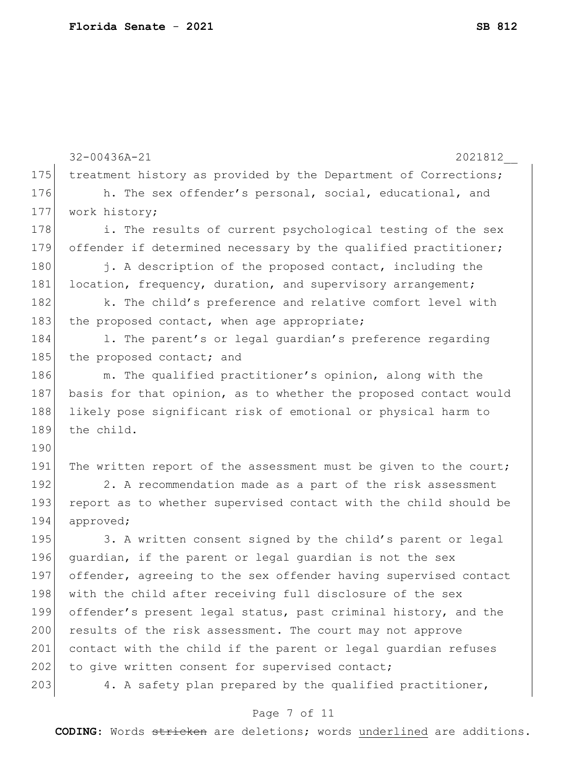|     | $32 - 00436A - 21$<br>2021812                                    |
|-----|------------------------------------------------------------------|
| 175 | treatment history as provided by the Department of Corrections;  |
| 176 | h. The sex offender's personal, social, educational, and         |
| 177 | work history;                                                    |
| 178 | i. The results of current psychological testing of the sex       |
| 179 | offender if determined necessary by the qualified practitioner;  |
| 180 | j. A description of the proposed contact, including the          |
| 181 | location, frequency, duration, and supervisory arrangement;      |
| 182 | k. The child's preference and relative comfort level with        |
| 183 | the proposed contact, when age appropriate;                      |
| 184 | 1. The parent's or legal guardian's preference regarding         |
| 185 | the proposed contact; and                                        |
| 186 | m. The qualified practitioner's opinion, along with the          |
| 187 | basis for that opinion, as to whether the proposed contact would |
| 188 | likely pose significant risk of emotional or physical harm to    |
| 189 | the child.                                                       |
| 190 |                                                                  |
| 191 | The written report of the assessment must be given to the court; |
| 192 | 2. A recommendation made as a part of the risk assessment        |
| 193 | report as to whether supervised contact with the child should be |
| 194 | approved;                                                        |
| 195 | 3. A written consent signed by the child's parent or legal       |
| 196 | quardian, if the parent or legal quardian is not the sex         |
| 197 | offender, agreeing to the sex offender having supervised contact |
| 198 | with the child after receiving full disclosure of the sex        |
| 199 | offender's present legal status, past criminal history, and the  |
| 200 | results of the risk assessment. The court may not approve        |
| 201 | contact with the child if the parent or legal quardian refuses   |
| 202 | to give written consent for supervised contact;                  |
| 203 | 4. A safety plan prepared by the qualified practitioner,         |
|     |                                                                  |

# Page 7 of 11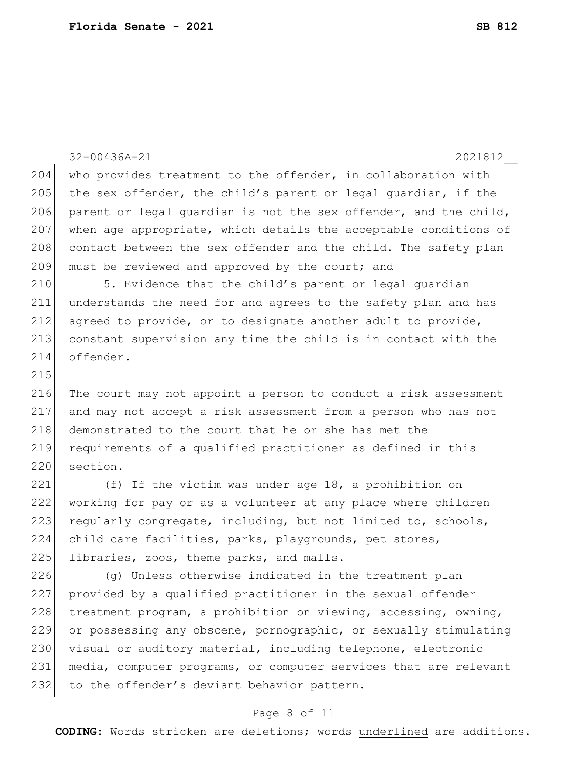32-00436A-21 2021812\_\_ 204 who provides treatment to the offender, in collaboration with 205 the sex offender, the child's parent or legal quardian, if the 206 parent or legal guardian is not the sex offender, and the child, 207 when age appropriate, which details the acceptable conditions of 208 contact between the sex offender and the child. The safety plan 209 must be reviewed and approved by the court; and 210 5. Evidence that the child's parent or legal guardian 211 understands the need for and agrees to the safety plan and has 212 agreed to provide, or to designate another adult to provide, 213 constant supervision any time the child is in contact with the 214 offender. 215 216 The court may not appoint a person to conduct a risk assessment 217 and may not accept a risk assessment from a person who has not 218 demonstrated to the court that he or she has met the 219 requirements of a qualified practitioner as defined in this 220 section. 221  $(f)$  If the victim was under age 18, a prohibition on 222 working for pay or as a volunteer at any place where children 223 regularly congregate, including, but not limited to, schools, 224 child care facilities, parks, playgrounds, pet stores, 225 libraries, zoos, theme parks, and malls. 226 (g) Unless otherwise indicated in the treatment plan 227 provided by a qualified practitioner in the sexual offender 228 treatment program, a prohibition on viewing, accessing, owning, 229 or possessing any obscene, pornographic, or sexually stimulating 230 visual or auditory material, including telephone, electronic

231 media, computer programs, or computer services that are relevant 232 to the offender's deviant behavior pattern.

### Page 8 of 11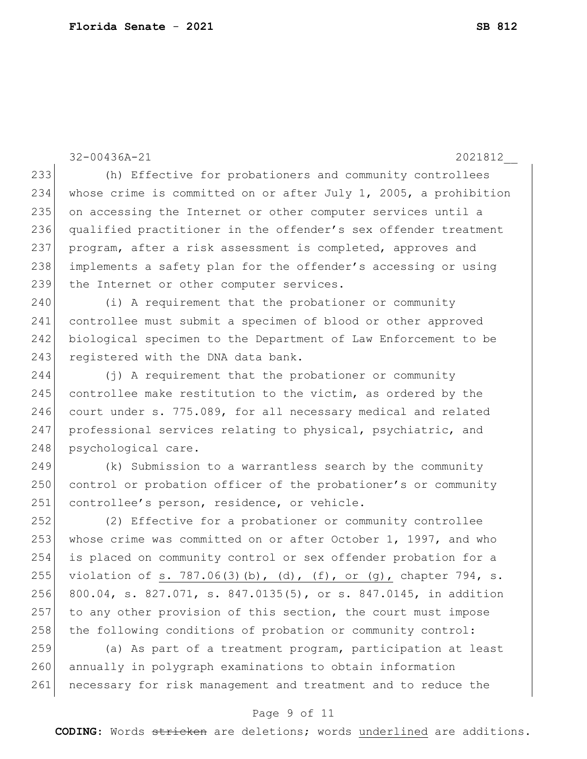32-00436A-21 2021812\_\_ 233 (h) Effective for probationers and community controllees 234 whose crime is committed on or after July 1, 2005, a prohibition 235 on accessing the Internet or other computer services until a 236 qualified practitioner in the offender's sex offender treatment 237 program, after a risk assessment is completed, approves and 238 implements a safety plan for the offender's accessing or using 239 the Internet or other computer services. 240 (i) A requirement that the probationer or community 241 controllee must submit a specimen of blood or other approved 242 biological specimen to the Department of Law Enforcement to be 243 registered with the DNA data bank. 244 (j) A requirement that the probationer or community 245 controllee make restitution to the victim, as ordered by the 246 court under s. 775.089, for all necessary medical and related 247 professional services relating to physical, psychiatric, and 248 psychological care. 249 (k) Submission to a warrantless search by the community 250 control or probation officer of the probationer's or community 251 controllee's person, residence, or vehicle. 252 (2) Effective for a probationer or community controllee 253 whose crime was committed on or after October 1, 1997, and who 254 is placed on community control or sex offender probation for a 255 violation of s. 787.06(3)(b), (d), (f), or (g), chapter 794, s. 256 800.04, s. 827.071, s. 847.0135(5), or s. 847.0145, in addition 257 to any other provision of this section, the court must impose 258 the following conditions of probation or community control: 259 (a) As part of a treatment program, participation at least 260 annually in polygraph examinations to obtain information 261 necessary for risk management and treatment and to reduce the

### Page 9 of 11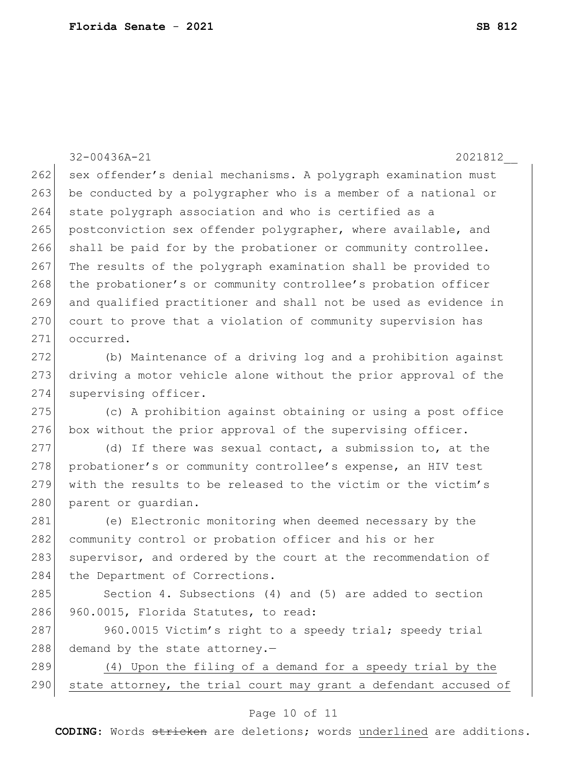32-00436A-21 2021812\_\_ 262 sex offender's denial mechanisms. A polygraph examination must 263 be conducted by a polygrapher who is a member of a national or 264 state polygraph association and who is certified as a 265 postconviction sex offender polygrapher, where available, and 266 shall be paid for by the probationer or community controllee. 267 The results of the polygraph examination shall be provided to 268 the probationer's or community controllee's probation officer 269 and qualified practitioner and shall not be used as evidence in 270 court to prove that a violation of community supervision has 271 occurred. 272 (b) Maintenance of a driving log and a prohibition against 273 driving a motor vehicle alone without the prior approval of the 274 supervising officer. 275 (c) A prohibition against obtaining or using a post office 276 box without the prior approval of the supervising officer.  $277$  (d) If there was sexual contact, a submission to, at the 278 probationer's or community controllee's expense, an HIV test 279 with the results to be released to the victim or the victim's 280 parent or guardian. 281 (e) Electronic monitoring when deemed necessary by the 282 community control or probation officer and his or her 283 supervisor, and ordered by the court at the recommendation of 284 the Department of Corrections. 285 Section 4. Subsections (4) and (5) are added to section 286 960.0015, Florida Statutes, to read: 287 960.0015 Victim's right to a speedy trial; speedy trial 288 demand by the state attorney. $-$ 289 (4) Upon the filing of a demand for a speedy trial by the 290 state attorney, the trial court may grant a defendant accused of

### Page 10 of 11